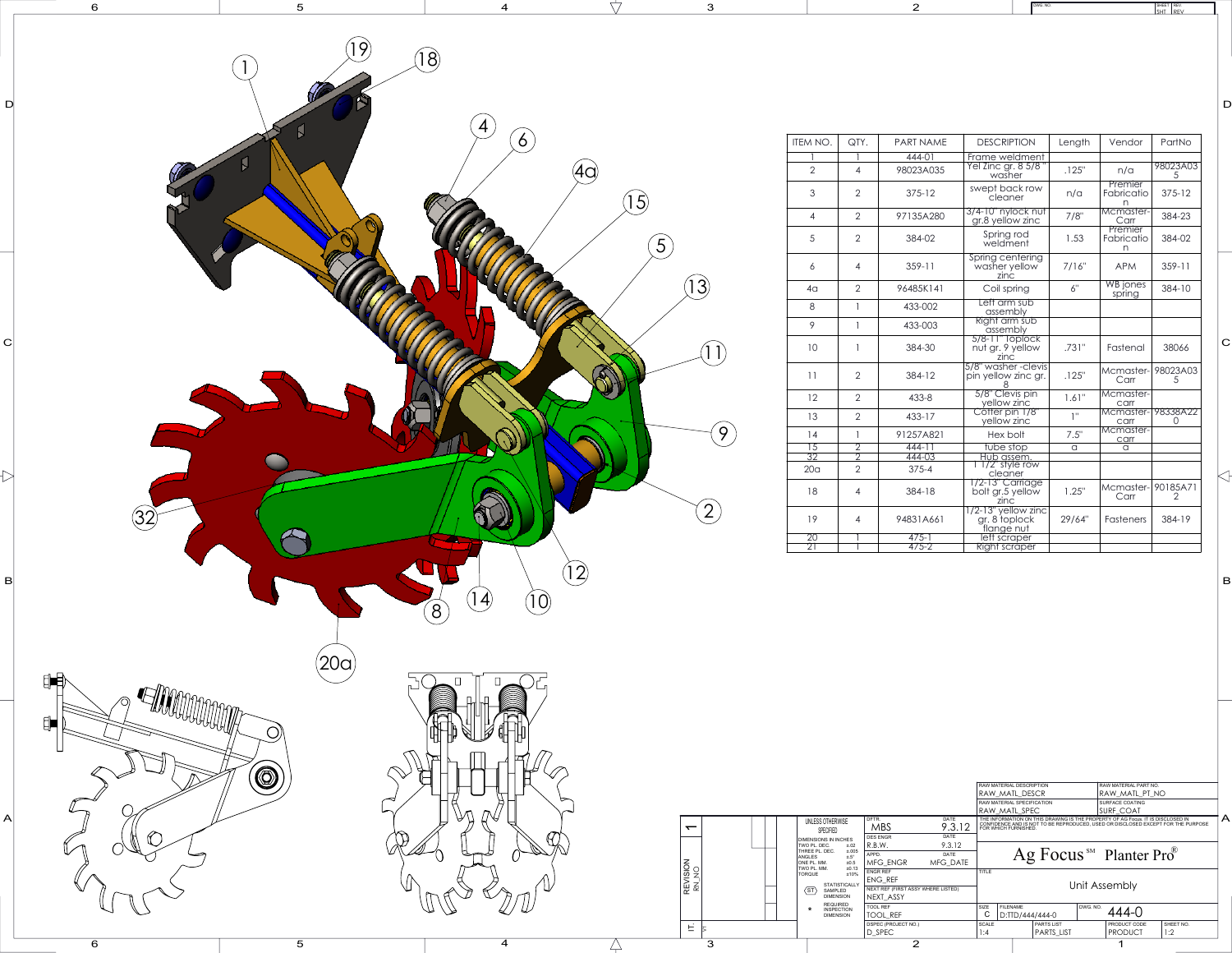|  | . | $\sim$ |
|--|---|--------|
|  |   |        |
|  |   |        |

|  | I<br>٩ |
|--|--------|
|  |        |

 $\mathbf C$ 

 $\mathsf B$ 



3 2 1 D<br>C<br>B<br>A<br>A D:TTD/444/444-0  $\sim$   $\sim$  444-0 1:4 PARTS\_LIST PRODUCT 1:2 R.B.W. 9.3.12 MFG\_ENGR MFG\_DATE ENG\_REF NEXT\_ASSY TOOL\_REF D\_SPEC DIMENSIONS IN INCHES<br>TWO PL. DEC.  $\pm .0$ <br>THREE PL. DEC.  $\pm .0$ <br>ANGLES  $\pm .5$ <br>ONE PL. MM.  $\pm 0$ .<br>TWO PL. MM.  $\pm 0$ . DATE DATE SCALE PARTS LIST PRODUCT CODE SHEET NO. TITLE SIZE FILENAME DWG. NO. DSPEC (PROJECT NO.) TOOL REF NEXT REF (FIRST ASSY WHERE LISTED) ENGR REF APPD.<br>MFG\_ENGR DETR.<br>MBS<br>DES ENGR<br>R.B.W. DFTR. DATE MBS 9.3.12 C SPECIFIED UNLESS OTHERWISE ±.005 ±.5°<br>±0.5<br>±0.13 ±.02 TORQUE ±10% STATISTICALLY<br>SAMPLED<br>DIMENSION REQUIRED<br>INSPECTION<br>DIMENSION RAW MATERIAL SPECIFICATION RAW MATERIAL DESCRIPTION RAW MATERIAL PART NO. SURFACE COATING RAW\_MATL\_DESCR RAW\_MATL\_PT\_NO RAW\_MATL\_SPEC |SURF\_COAT THE INFORMATION ON THIS DRAWING IS THE PROPERTY OF AG Focus. IT IS DISCLOSED IN<br>CONFIDENCE AND IS NOT TO BE REPRODUCED, USED OR DISCLOSED EXCEPT FOR THE PURPOSE<br>FOR WHICH FURNISHED.  $\text{Ag Focus}^{\text{SM}}$  Planter Pro Unit Assembly

 $\left($ 

| ITEM NO.        | QTY.           | <b>PART NAME</b> | <b>DESCRIPTION</b>                                 | Length         | Vendor                     | PartNo                     |
|-----------------|----------------|------------------|----------------------------------------------------|----------------|----------------------------|----------------------------|
|                 |                | 444-01           | Frame weldment                                     |                |                            |                            |
| $\overline{2}$  | $\overline{4}$ | 98023A035        | "Yel Zinc gr. 8 5/8<br>"washer                     | .125"          | n/a                        | 98023A03<br>5              |
| 3               | $\overline{2}$ | $375 - 12$       | swept back row<br>cleaner                          | n/a            | Premier<br>Fabricatio<br>n | $375 - 12$                 |
| $\overline{4}$  | $\overline{2}$ | 97135A280        | 3/4-10" nylock nut<br>gr.8 yellow zinc             | 7/8"           | Mcmaster-<br>Carr          | 384-23                     |
| 5               | $\overline{2}$ | 384-02           | Spring rod<br>weldment                             | 1.53           | Premier<br>Fabricatio<br>n | 384-02                     |
| 6               | 4              | $359 - 11$       | Spring centering<br>washer yellow<br>zinc          | 7/16"          | <b>APM</b>                 | $359 - 11$                 |
| 4 <sub>q</sub>  | $\overline{2}$ | 96485K141        | Coil spring                                        | 6"             | <b>WB</b> jones<br>spring  | 384-10                     |
| 8               | $\mathbf{1}$   | 433-002          | Left arm sub<br>assembly                           |                |                            |                            |
| 9               | $\mathbf{1}$   | 433-003          | Right arm sub<br>assembly                          |                |                            |                            |
| 10              | 1              | 384-30           | 5/8-11" Toplock<br>nut gr. 9 yellow<br>zinc        | .731"          | Fastenal                   | 38066                      |
| 11              | $\overline{2}$ | 384-12           | 5/8" washer -clevis<br>pin yellow zinc gr.         | .125"          | Mcmaster-<br>Carr          | 98023A03<br>5              |
| 12              | $\overline{2}$ | 433-8            | 5/8" Clevis pin<br>yellow zinc                     | 1.61"          | Mcmaster-<br>carr          |                            |
| 13              | $\overline{2}$ | 433-17           | Cotter pin 1/8"<br>yellow zinc                     | 1 <sup>0</sup> | Mcmaster-<br>carr          | 98338A22<br>$\Omega$       |
| 14              |                | 91257A821        | Hex bolt                                           | 7.5"           | Mcmaster-<br>carr          |                            |
| 15              | $\overline{2}$ | $444-11$         | tube stop                                          | $\hbox{\tt C}$ | a                          |                            |
| 32              | $\overline{2}$ | 444-03           | <u>Hub assem.<br/>1/2" style row</u>               |                |                            |                            |
| 20 <sub>a</sub> | $\overline{2}$ | $375 - 4$        | cleaner                                            |                |                            |                            |
| 18              | 4              | 384-18           | 1/2-13" Carriage<br>bolt gr.5 yellow<br>zinc       | 1.25"          | Mcmaster-<br>Carr          | 90185A71<br>$\overline{2}$ |
| 19              | 4              | 94831A661        | 1/2-13" yellow zinc<br>gr. 8 toplock<br>flange nut | 29/64"         | Fasteners                  | 384-19                     |
| 20              |                | $475 - 1$        | left scraper                                       |                |                            |                            |
| 21              |                | $475 - 2$        | Right scraper                                      |                |                            |                            |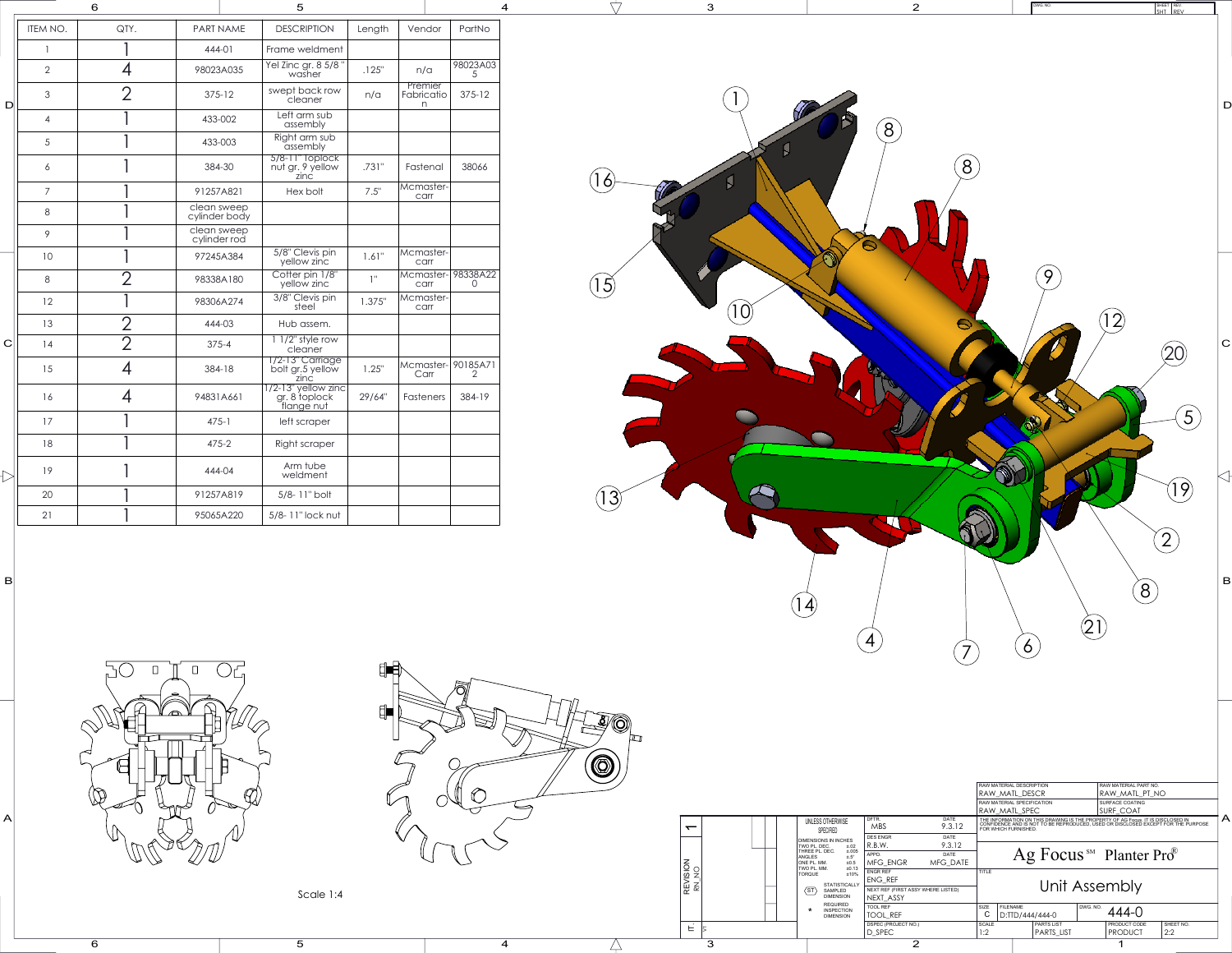







6

|                                |   |                                                                                                                                   |                                                                               |                                    |                     | RAW MATERIAL DESCRIPTION<br>RAW MATL DESCR<br>RAW MATERIAL SPECIFICATION<br>RAW MATL SPEC |                                        |          | RAW MATERIAL PART NO.<br> raw matl pt no<br>SURFACE COATING<br>Isurf COAT                                                                                           |                  |
|--------------------------------|---|-----------------------------------------------------------------------------------------------------------------------------------|-------------------------------------------------------------------------------|------------------------------------|---------------------|-------------------------------------------------------------------------------------------|----------------------------------------|----------|---------------------------------------------------------------------------------------------------------------------------------------------------------------------|------------------|
|                                |   | UNLESS OTHERWISE<br>SPECIFIED                                                                                                     | DFTR.<br><b>MBS</b>                                                           | <b>DATE</b><br>9.3.12              |                     | FOR WHICH FURNISHED.                                                                      |                                        |          | THE INFORMATION ON THIS DRAWING IS THE PROPERTY OF AG Focus. IT IS DISCLOSED IN<br>CONFIDENCE AND IS NOT TO BE REPRODUCED, USED OR DISCLOSED EXCEPT FOR THE PURPOSE |                  |
|                                |   | <b>DIMENSIONS IN INCHES</b><br>TWO PL. DEC.<br>±.02<br>THREE PL. DEC.<br>±.005<br>$\pm .5^\circ$<br>ANGLES<br>ONE PL. MM.<br>±0.5 | <b>DES ENGR</b><br>R.B.W.<br>APPD.<br>MFG ENGR                                | DATE<br>9.3.12<br>DATE<br>MFG DATE |                     |                                                                                           |                                        |          | $\rm Ag$ Focus $\rm SM$ Planter Pro                                                                                                                                 |                  |
| REVISION<br>$\frac{1}{2}$<br>る |   | ±0.13<br>TWO PL. MM.<br>±10%<br><b>TORQUE</b><br><b>STATISTICALLY</b><br>$\langle$ ST $\rangle$<br>SAMPLED<br><b>DIMENSION</b>    | <b>ENGR REF</b><br>ENG REF<br>NEXT REF (FIRST ASSY WHERE LISTED)<br>NEXT ASSY | <b>TITLE</b><br>Unit Assembly      |                     |                                                                                           |                                        |          |                                                                                                                                                                     |                  |
|                                |   | <b>REQUIRED</b><br>$\star$<br><b>INSPECTION</b><br><b>DIMENSION</b>                                                               | <b>TOOL REF</b><br><b>TOOL REF</b>                                            |                                    | SIZE<br>C           | <b>FILENAME</b><br>D:TTD/444/444-0                                                        |                                        | DWG. NO. | $444 - 0$                                                                                                                                                           |                  |
| $\mathop{E}\limits$            |   |                                                                                                                                   | DSPEC (PROJECT NO.)<br>D SPEC                                                 |                                    | <b>SCALE</b><br>1:2 |                                                                                           | <b>PARTS LIST</b><br><b>PARTS LIST</b> |          | PRODUCT CODE<br><b>PRODUCT</b>                                                                                                                                      | SHEET NO.<br>2:2 |
|                                | 3 |                                                                                                                                   | $\overline{2}$                                                                |                                    |                     |                                                                                           |                                        |          |                                                                                                                                                                     |                  |

5

 $\overline{\mathbb{A}}$ 

4

|                | 6              |                              | 5                                                          |        |                            |                            |
|----------------|----------------|------------------------------|------------------------------------------------------------|--------|----------------------------|----------------------------|
| ITEM NO.       | QTY.           | PART NAME                    | <b>DESCRIPTION</b>                                         | Length | Vendor                     | PartNo                     |
|                |                | 444-01                       | Frame weldment                                             |        |                            |                            |
| $\overline{2}$ | 4              | 98023A035                    | Yel Zinc gr. 8 5/8"<br>washer                              | .125"  | n/a                        | 98023A03<br>5              |
| $\mathfrak{Z}$ | $\overline{2}$ | $375 - 12$                   | swept back row<br>cleaner                                  | n/a    | Premier<br>Fabricatio<br>n | $375 - 12$                 |
| $\overline{4}$ |                | 433-002                      | Left arm sub<br>assembly                                   |        |                            |                            |
| 5              |                | 433-003                      | Right arm sub<br>assembly                                  |        |                            |                            |
| 6              |                | 384-30                       | 5/8-11" Toplock<br>nut gr. 9 yellow<br>zinc                | .731"  | Fastenal                   | 38066                      |
| $\overline{7}$ |                | 91257A821                    | Hex bolt                                                   | 7.5"   | Mcmaster-<br>carr          |                            |
| $8\,$          |                | clean sweep<br>cylinder body |                                                            |        |                            |                            |
| 9              |                | clean sweep<br>cylinder rod  |                                                            |        |                            |                            |
| 10             |                | 97245A384                    | 5/8" Clevis pin<br>yellow zinc                             | 1.61"  | Mcmaster-<br>carr          |                            |
| $8\,$          | $\overline{2}$ | 98338A180                    | Cotter pin 1/8"<br>yellow zinc                             | 1"     | Mcmaster-<br>carr          | 98338A22<br>$\Omega$       |
| 12             |                | 98306A274                    | 3/8" Clevis pin<br>steel                                   | 1.375" | Mcmaster-<br>carr          |                            |
| 13             | $\overline{2}$ | 444-03                       | Hub assem.                                                 |        |                            |                            |
| 14             | $\bigcap$      | $375 - 4$                    | $\overline{1}$ 1/2" style row<br>cleaner                   |        |                            |                            |
| 15             | 4              | 384-18                       | 1/2-13" Carriage<br>bolt gr <sub>:</sub> 5 yellow          | 1.25"  | Mcmaster-<br>Carr          | 90185A71<br>$\overline{2}$ |
| 16             | 4              | 94831A661                    | zinc<br>1/2-13" yellow zinc<br>gr. 8 toplock<br>flange nut | 29/64" | Fasteners                  | 384-19                     |
| 17             |                | $475 - 1$                    | left scraper                                               |        |                            |                            |
| 18             |                | $475 - 2$                    | Right scraper                                              |        |                            |                            |
| 19             |                | 444-04                       | Arm tube<br>weldment                                       |        |                            |                            |
| 20             |                | 91257A819                    | 5/8-11" bolt                                               |        |                            |                            |
| 21             |                | 95065A220                    | 5/8-11" lock nut                                           |        |                            |                            |
|                | $\Box$         | $\Box$                       |                                                            | 日<br>  |                            |                            |
|                |                |                              |                                                            |        |                            |                            |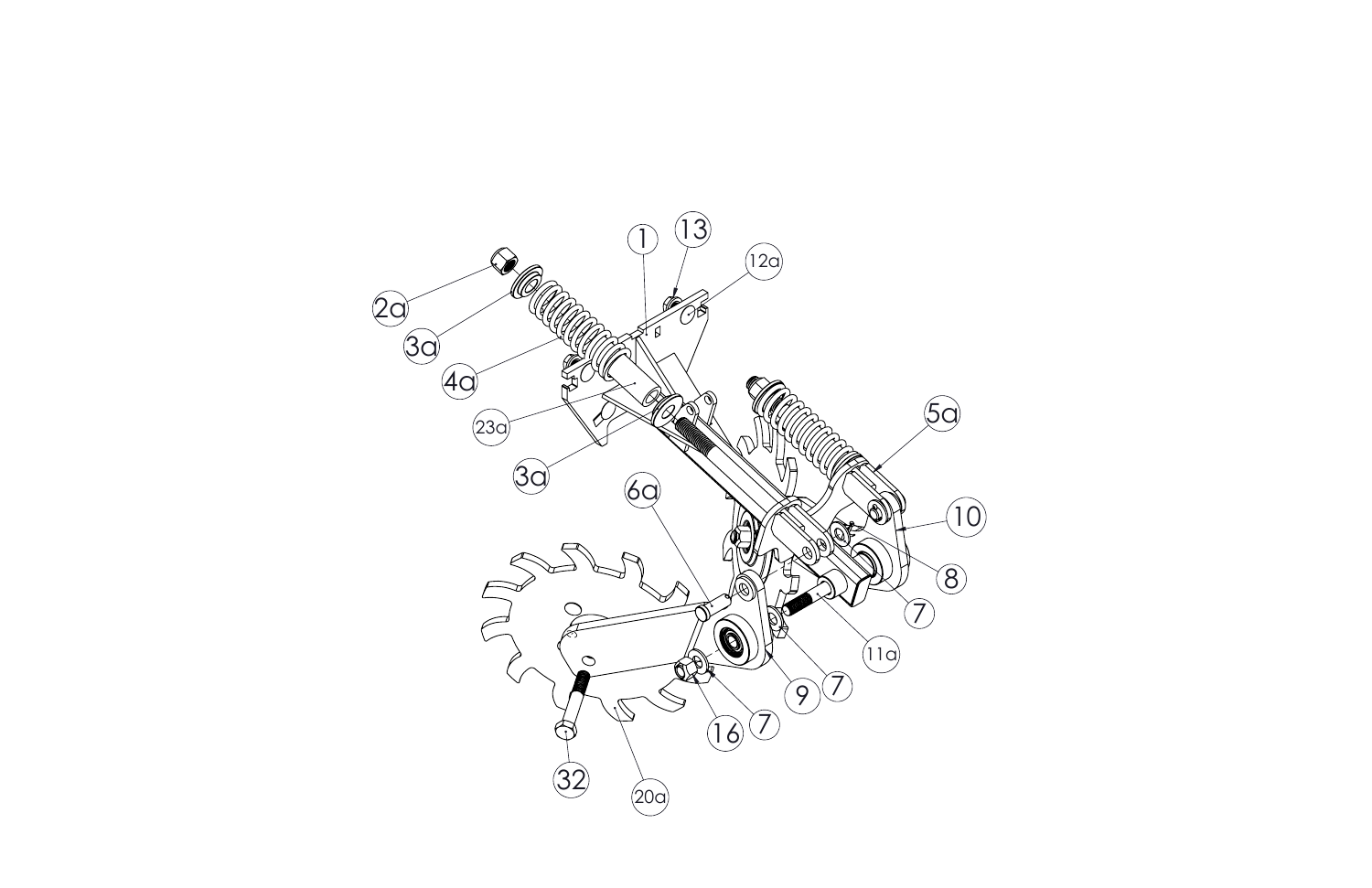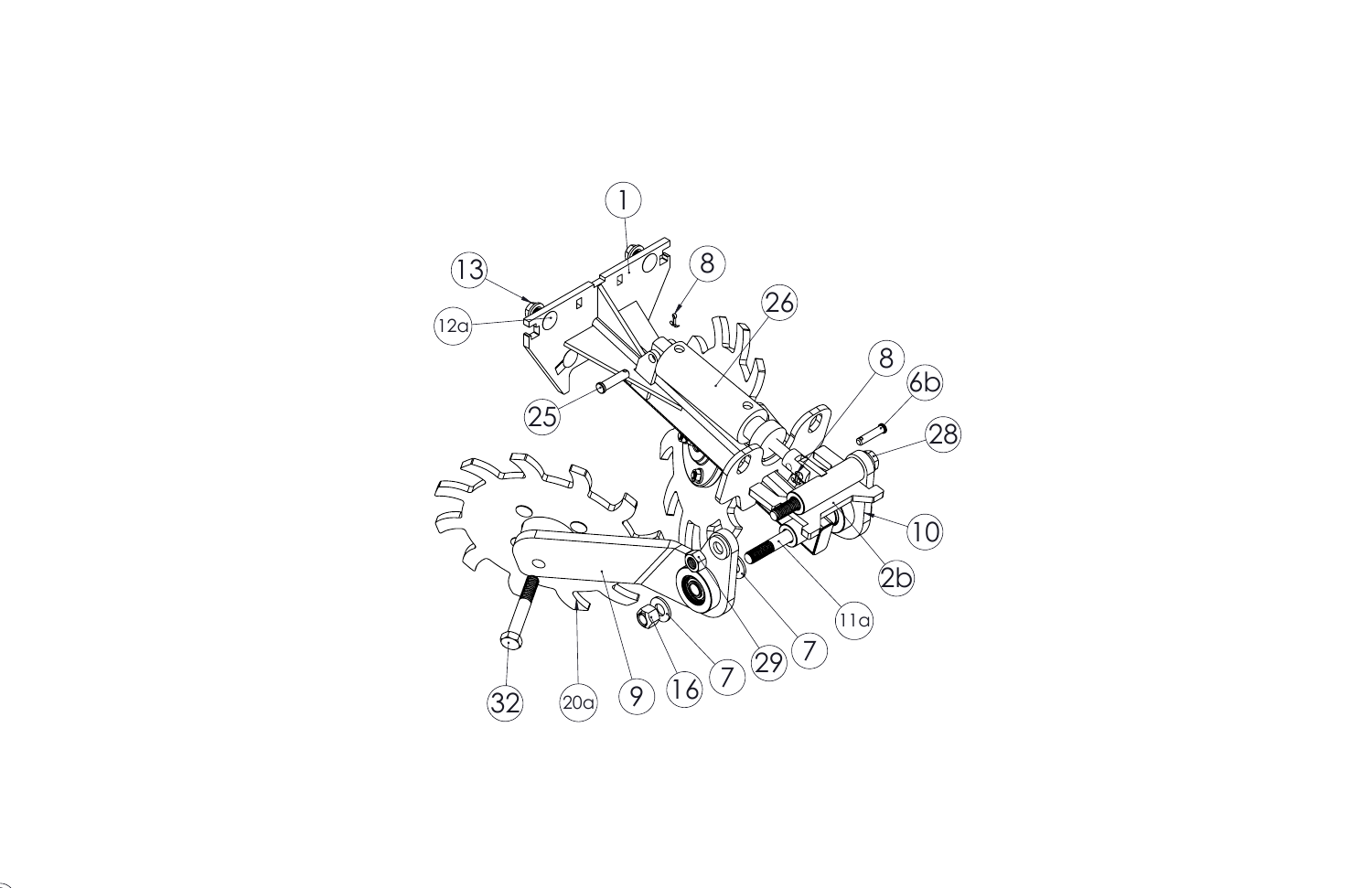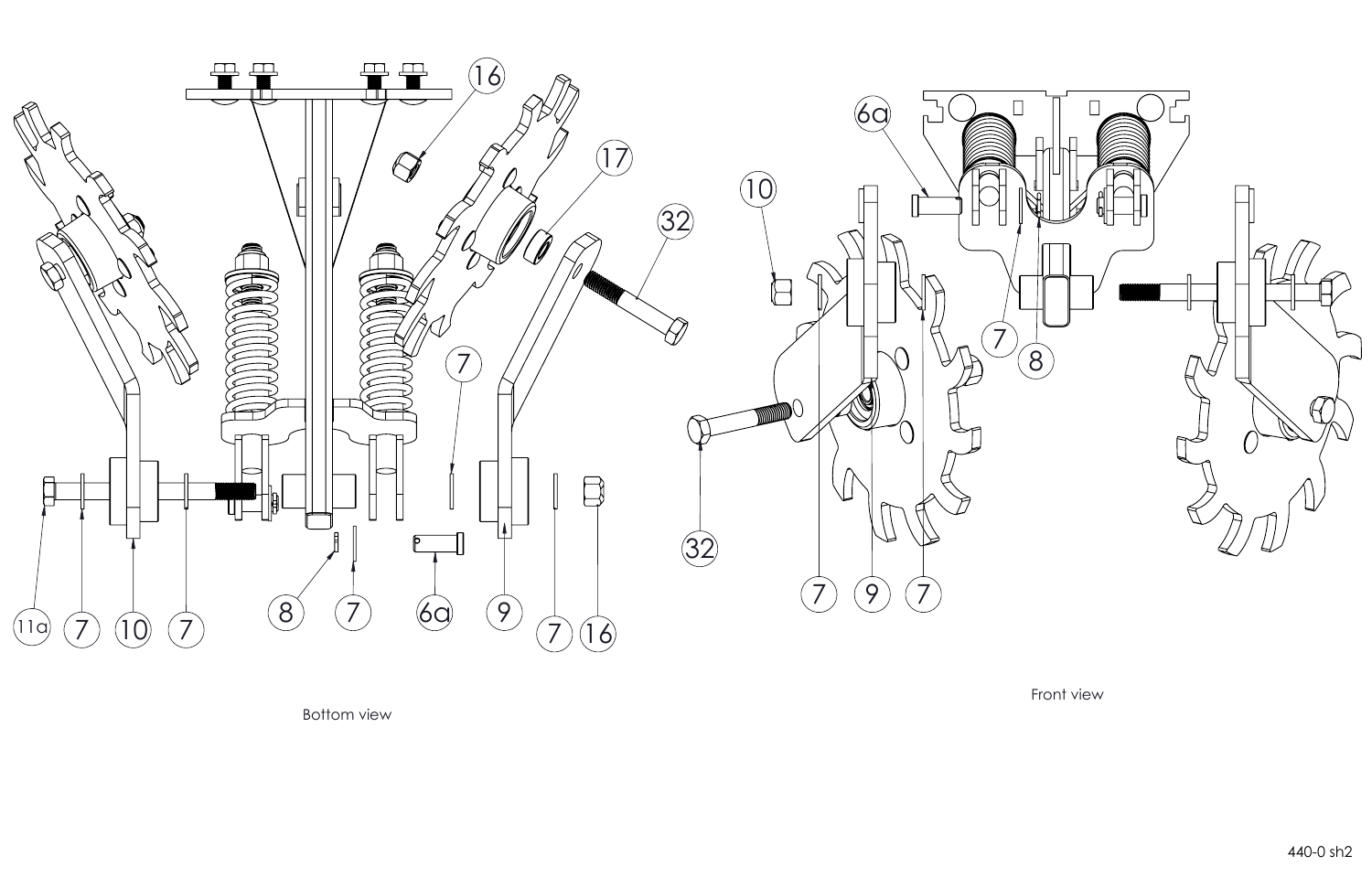

Bottom view

## Front view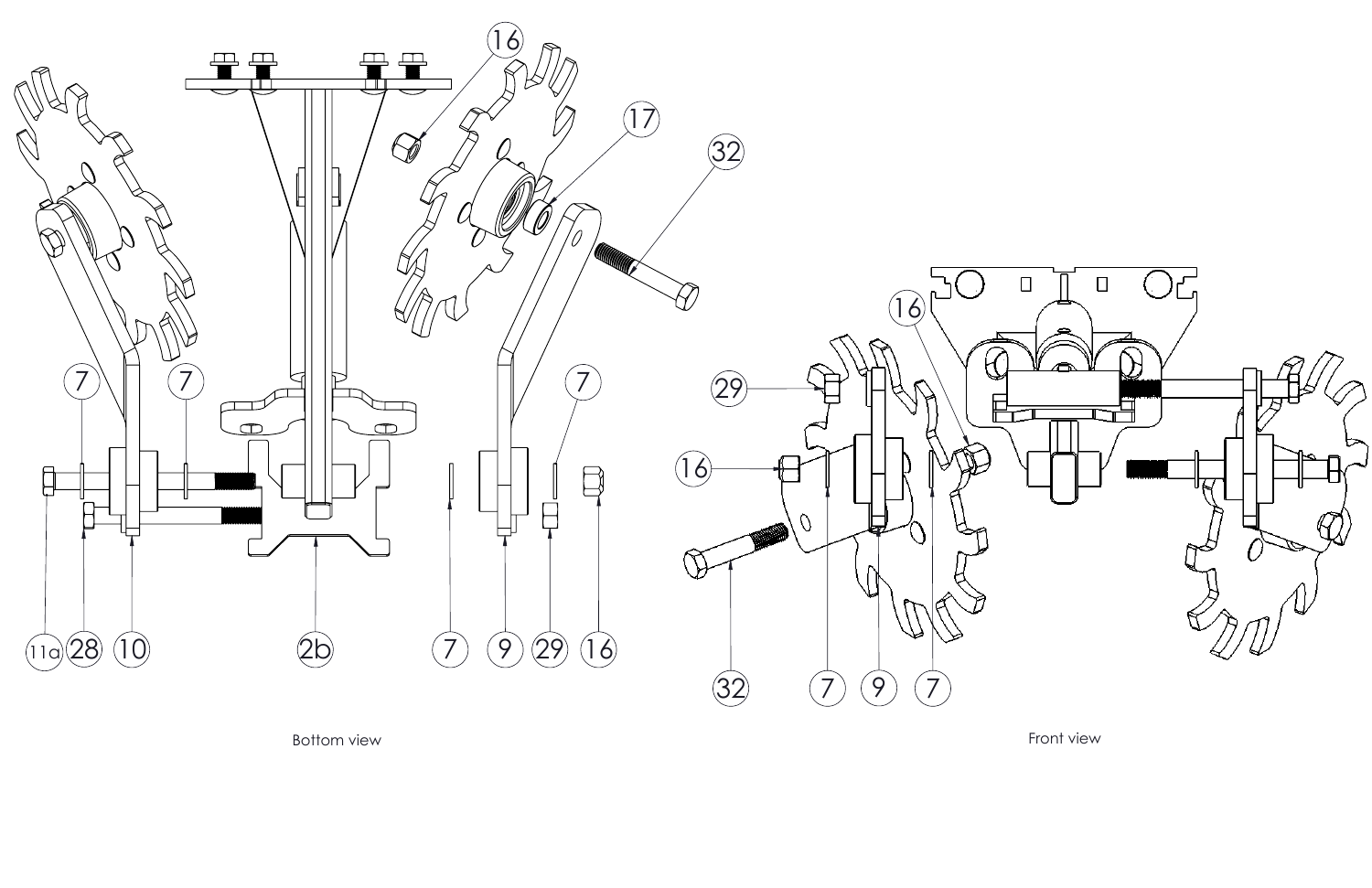Front view



Bottom view